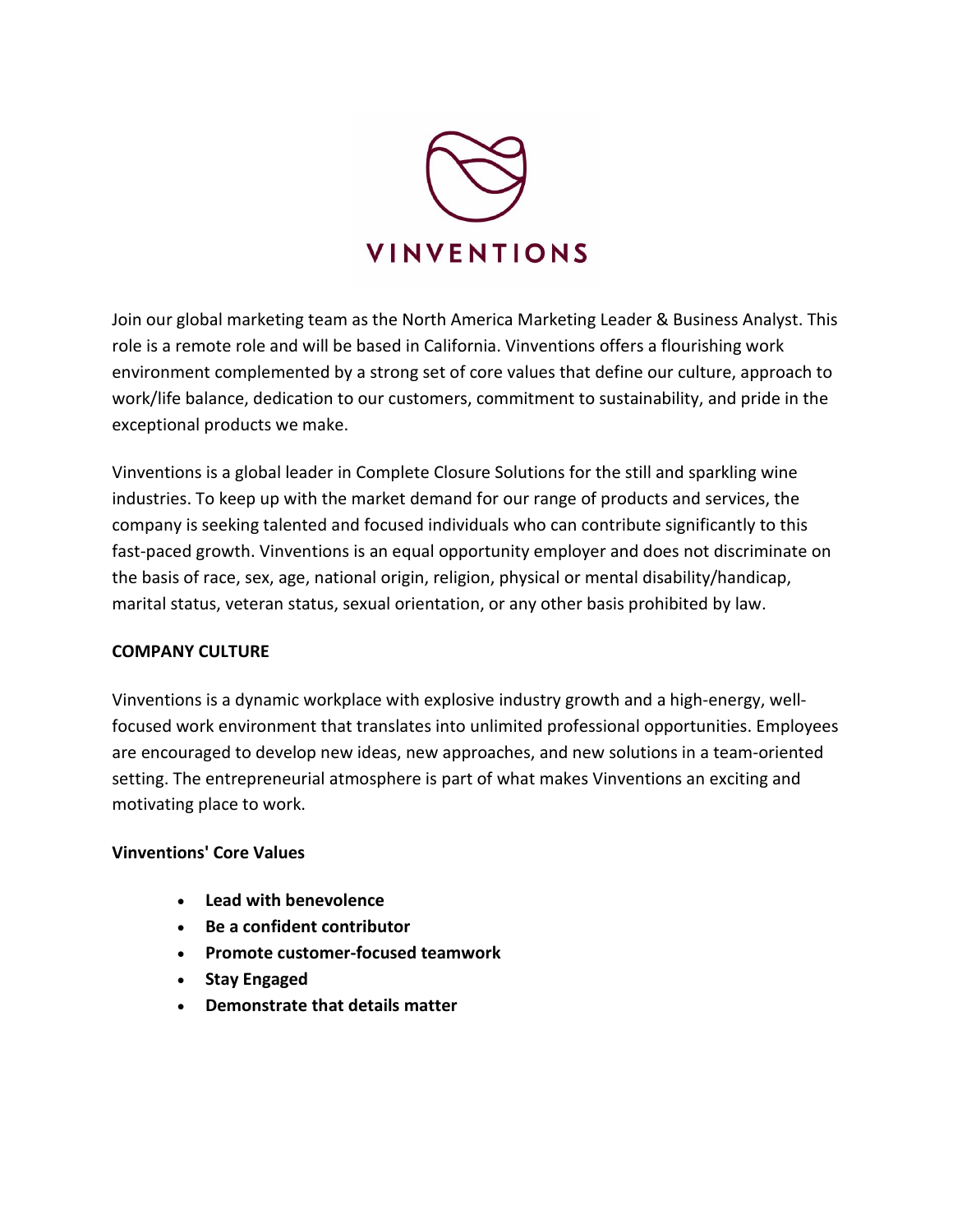

Join our global marketing team as the North America Marketing Leader & Business Analyst. This role is a remote role and will be based in California. Vinventions offers a flourishing work environment complemented by a strong set of core values that define our culture, approach to work/life balance, dedication to our customers, commitment to sustainability, and pride in the exceptional products we make.

Vinventions is a global leader in Complete Closure Solutions for the still and sparkling wine industries. To keep up with the market demand for our range of products and services, the company is seeking talented and focused individuals who can contribute significantly to this fast-paced growth. Vinventions is an equal opportunity employer and does not discriminate on the basis of race, sex, age, national origin, religion, physical or mental disability/handicap, marital status, veteran status, sexual orientation, or any other basis prohibited by law.

#### **COMPANY CULTURE**

Vinventions is a dynamic workplace with explosive industry growth and a high-energy, wellfocused work environment that translates into unlimited professional opportunities. Employees are encouraged to develop new ideas, new approaches, and new solutions in a team-oriented setting. The entrepreneurial atmosphere is part of what makes Vinventions an exciting and motivating place to work.

#### **Vinventions' Core Values**

- **Lead with benevolence**
- **Be a confident contributor**
- **Promote customer-focused teamwork**
- **Stay Engaged**
- **Demonstrate that details matter**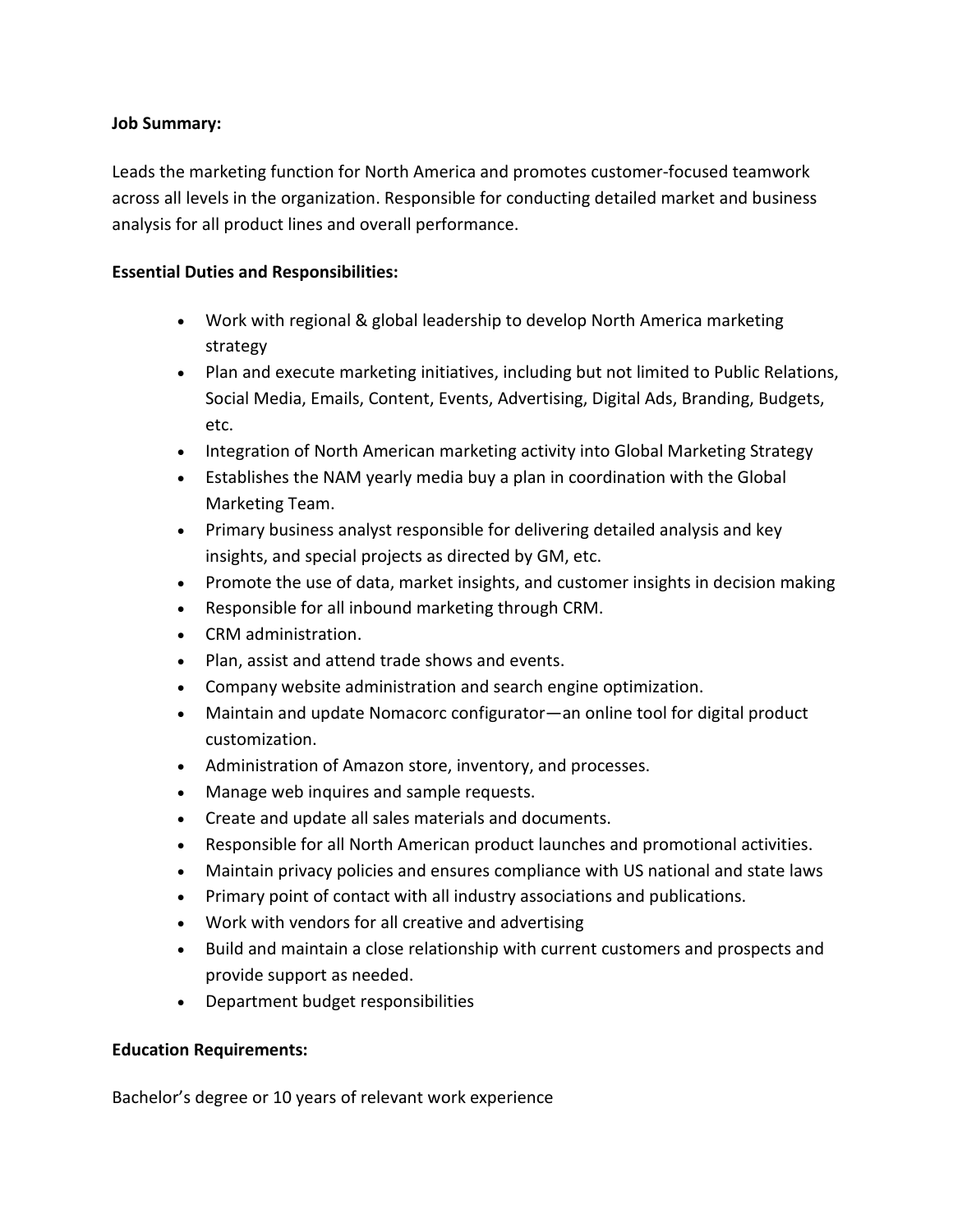### **Job Summary:**

Leads the marketing function for North America and promotes customer-focused teamwork across all levels in the organization. Responsible for conducting detailed market and business analysis for all product lines and overall performance.

## **Essential Duties and Responsibilities:**

- Work with regional & global leadership to develop North America marketing strategy
- Plan and execute marketing initiatives, including but not limited to Public Relations, Social Media, Emails, Content, Events, Advertising, Digital Ads, Branding, Budgets, etc.
- Integration of North American marketing activity into Global Marketing Strategy
- Establishes the NAM yearly media buy a plan in coordination with the Global Marketing Team.
- Primary business analyst responsible for delivering detailed analysis and key insights, and special projects as directed by GM, etc.
- Promote the use of data, market insights, and customer insights in decision making
- Responsible for all inbound marketing through CRM.
- CRM administration.
- Plan, assist and attend trade shows and events.
- Company website administration and search engine optimization.
- Maintain and update Nomacorc configurator—an online tool for digital product customization.
- Administration of Amazon store, inventory, and processes.
- Manage web inquires and sample requests.
- Create and update all sales materials and documents.
- Responsible for all North American product launches and promotional activities.
- Maintain privacy policies and ensures compliance with US national and state laws
- Primary point of contact with all industry associations and publications.
- Work with vendors for all creative and advertising
- Build and maintain a close relationship with current customers and prospects and provide support as needed.
- Department budget responsibilities

# **Education Requirements:**

Bachelor's degree or 10 years of relevant work experience